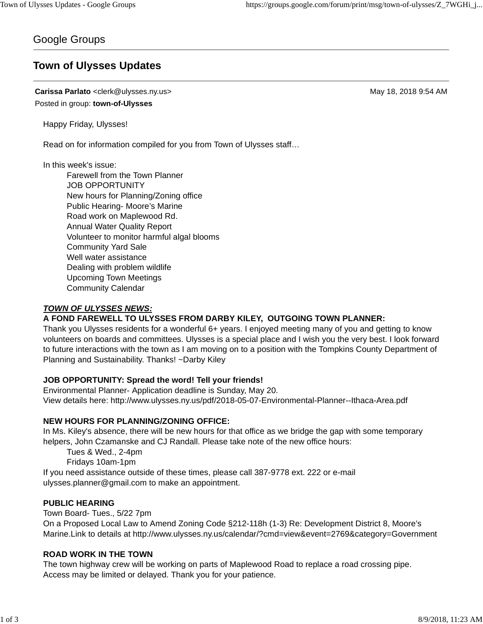## Google Groups

# **Town of Ulysses Updates**

**Carissa Parlato** <clerk@ulysses.ny.us> May 18, 2018 9:54 AM Posted in group: **town-of-Ulysses**

Happy Friday, Ulysses!

Read on for information compiled for you from Town of Ulysses staff…

In this week's issue:

Farewell from the Town Planner JOB OPPORTUNITY New hours for Planning/Zoning office Public Hearing- Moore's Marine Road work on Maplewood Rd. Annual Water Quality Report Volunteer to monitor harmful algal blooms Community Yard Sale Well water assistance Dealing with problem wildlife Upcoming Town Meetings Community Calendar

## *TOWN OF ULYSSES NEWS:*

## **A FOND FAREWELL TO ULYSSES FROM DARBY KILEY, OUTGOING TOWN PLANNER:**

Thank you Ulysses residents for a wonderful 6+ years. I enjoyed meeting many of you and getting to know volunteers on boards and committees. Ulysses is a special place and I wish you the very best. I look forward to future interactions with the town as I am moving on to a position with the Tompkins County Department of Planning and Sustainability. Thanks! ~Darby Kiley

## **JOB OPPORTUNITY: Spread the word! Tell your friends!**

Environmental Planner- Application deadline is Sunday, May 20. View details here: http://www.ulysses.ny.us/pdf/2018-05-07-Environmental-Planner--Ithaca-Area.pdf

## **NEW HOURS FOR PLANNING/ZONING OFFICE:**

In Ms. Kiley's absence, there will be new hours for that office as we bridge the gap with some temporary helpers, John Czamanske and CJ Randall. Please take note of the new office hours:

Tues & Wed., 2-4pm

Fridays 10am-1pm

If you need assistance outside of these times, please call 387-9778 ext. 222 or e-mail ulysses.planner@gmail.com to make an appointment.

## **PUBLIC HEARING**

Town Board- Tues., 5/22 7pm On a Proposed Local Law to Amend Zoning Code §212-118h (1-3) Re: Development District 8, Moore's Marine.Link to details at http://www.ulysses.ny.us/calendar/?cmd=view&event=2769&category=Government

## **ROAD WORK IN THE TOWN**

The town highway crew will be working on parts of Maplewood Road to replace a road crossing pipe. Access may be limited or delayed. Thank you for your patience.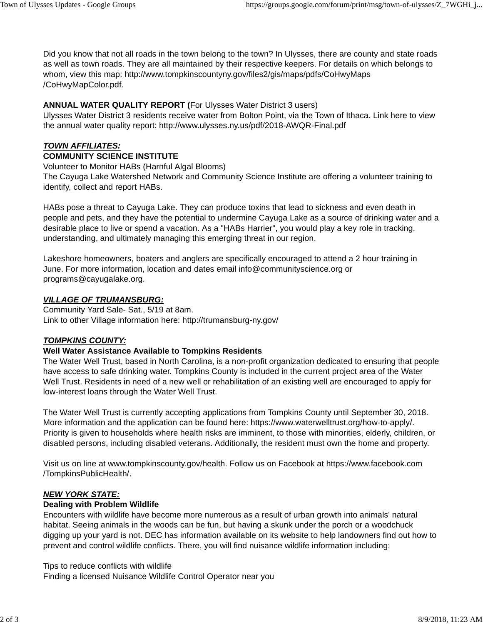Did you know that not all roads in the town belong to the town? In Ulysses, there are county and state roads as well as town roads. They are all maintained by their respective keepers. For details on which belongs to whom, view this map: http://www.tompkinscountyny.gov/files2/gis/maps/pdfs/CoHwyMaps /CoHwyMapColor.pdf.

## **ANNUAL WATER QUALITY REPORT (**For Ulysses Water District 3 users)

Ulysses Water District 3 residents receive water from Bolton Point, via the Town of Ithaca. Link here to view the annual water quality report: http://www.ulysses.ny.us/pdf/2018-AWQR-Final.pdf

## *TOWN AFFILIATES:*

#### **COMMUNITY SCIENCE INSTITUTE**

Volunteer to Monitor HABs (Harnful Algal Blooms)

The Cayuga Lake Watershed Network and Community Science Institute are offering a volunteer training to identify, collect and report HABs.

HABs pose a threat to Cayuga Lake. They can produce toxins that lead to sickness and even death in people and pets, and they have the potential to undermine Cayuga Lake as a source of drinking water and a desirable place to live or spend a vacation. As a "HABs Harrier", you would play a key role in tracking, understanding, and ultimately managing this emerging threat in our region.

Lakeshore homeowners, boaters and anglers are specifically encouraged to attend a 2 hour training in June. For more information, location and dates email info@communityscience.org or programs@cayugalake.org.

#### *VILLAGE OF TRUMANSBURG:*

Community Yard Sale- Sat., 5/19 at 8am. Link to other Village information here: http://trumansburg-ny.gov/

## *TOMPKINS COUNTY:*

## **Well Water Assistance Available to Tompkins Residents**

The Water Well Trust, based in North Carolina, is a non-profit organization dedicated to ensuring that people have access to safe drinking water. Tompkins County is included in the current project area of the Water Well Trust. Residents in need of a new well or rehabilitation of an existing well are encouraged to apply for low-interest loans through the Water Well Trust.

The Water Well Trust is currently accepting applications from Tompkins County until September 30, 2018. More information and the application can be found here: https://www.waterwelltrust.org/how-to-apply/. Priority is given to households where health risks are imminent, to those with minorities, elderly, children, or disabled persons, including disabled veterans. Additionally, the resident must own the home and property.

Visit us on line at www.tompkinscounty.gov/health. Follow us on Facebook at https://www.facebook.com /TompkinsPublicHealth/.

## *NEW YORK STATE:*

## **Dealing with Problem Wildlife**

Encounters with wildlife have become more numerous as a result of urban growth into animals' natural habitat. Seeing animals in the woods can be fun, but having a skunk under the porch or a woodchuck digging up your yard is not. DEC has information available on its website to help landowners find out how to prevent and control wildlife conflicts. There, you will find nuisance wildlife information including:

Tips to reduce conflicts with wildlife Finding a licensed Nuisance Wildlife Control Operator near you